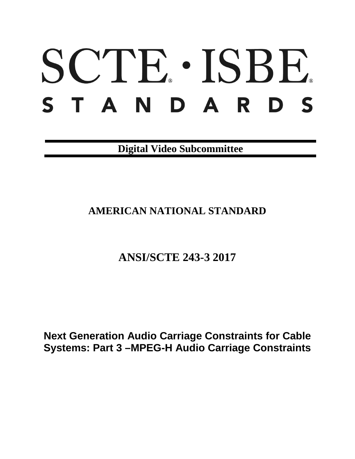# SCTE · ISBE. STANDARDS

**Digital Video Subcommittee**

# **AMERICAN NATIONAL STANDARD**

# **ANSI/SCTE 243-3 2017**

**Next Generation Audio Carriage Constraints for Cable Systems: Part 3 –MPEG-H Audio Carriage Constraints**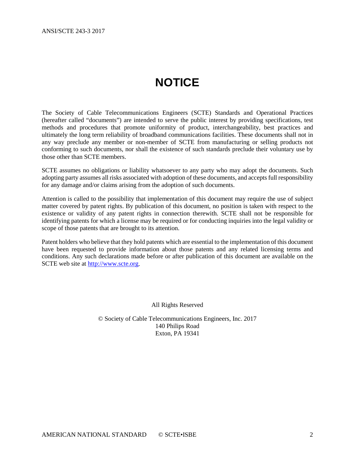# **NOTICE**

<span id="page-1-0"></span>The Society of Cable Telecommunications Engineers (SCTE) Standards and Operational Practices (hereafter called "documents") are intended to serve the public interest by providing specifications, test methods and procedures that promote uniformity of product, interchangeability, best practices and ultimately the long term reliability of broadband communications facilities. These documents shall not in any way preclude any member or non-member of SCTE from manufacturing or selling products not conforming to such documents, nor shall the existence of such standards preclude their voluntary use by those other than SCTE members.

SCTE assumes no obligations or liability whatsoever to any party who may adopt the documents. Such adopting party assumes all risks associated with adoption of these documents, and accepts full responsibility for any damage and/or claims arising from the adoption of such documents.

Attention is called to the possibility that implementation of this document may require the use of subject matter covered by patent rights. By publication of this document, no position is taken with respect to the existence or validity of any patent rights in connection therewith. SCTE shall not be responsible for identifying patents for which a license may be required or for conducting inquiries into the legal validity or scope of those patents that are brought to its attention.

Patent holders who believe that they hold patents which are essential to the implementation of this document have been requested to provide information about those patents and any related licensing terms and conditions. Any such declarations made before or after publication of this document are available on the SCTE web site at [http://www.scte.org.](http://www.scte.org/)

All Rights Reserved

© Society of Cable Telecommunications Engineers, Inc. 2017 140 Philips Road Exton, PA 19341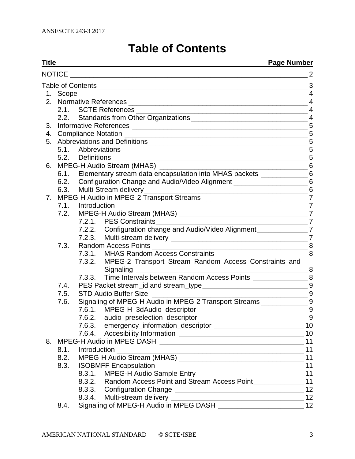# **Table of Contents**

<span id="page-2-0"></span>

| Title<br><b>Page Number</b> |                                                                               |        |                                                                              |                |  |  |
|-----------------------------|-------------------------------------------------------------------------------|--------|------------------------------------------------------------------------------|----------------|--|--|
|                             |                                                                               |        |                                                                              | $\overline{2}$ |  |  |
|                             |                                                                               |        |                                                                              |                |  |  |
|                             |                                                                               |        |                                                                              |                |  |  |
|                             |                                                                               |        |                                                                              |                |  |  |
|                             |                                                                               |        |                                                                              |                |  |  |
|                             |                                                                               |        |                                                                              |                |  |  |
| 3.                          |                                                                               |        |                                                                              |                |  |  |
|                             |                                                                               |        |                                                                              |                |  |  |
| 5.                          |                                                                               |        |                                                                              |                |  |  |
|                             |                                                                               |        |                                                                              |                |  |  |
|                             |                                                                               |        |                                                                              |                |  |  |
| 6.                          |                                                                               |        |                                                                              |                |  |  |
|                             |                                                                               |        | 6.1. Elementary stream data encapsulation into MHAS packets ______________6  |                |  |  |
|                             |                                                                               |        | 6.2. Configuration Change and Audio/Video Alignment _______________________6 |                |  |  |
|                             |                                                                               |        |                                                                              |                |  |  |
| 7.                          | MPEG-H Audio in MPEG-2 Transport Streams ___________________________________7 |        |                                                                              |                |  |  |
|                             |                                                                               |        |                                                                              |                |  |  |
|                             | 7.2.                                                                          |        |                                                                              |                |  |  |
|                             |                                                                               |        | $\frac{1}{2}$                                                                |                |  |  |
|                             |                                                                               |        | 7.2.2. Configuration change and Audio/Video Alignment _______________7       |                |  |  |
|                             |                                                                               |        |                                                                              |                |  |  |
|                             | 7.3.                                                                          |        |                                                                              |                |  |  |
|                             |                                                                               |        |                                                                              |                |  |  |
|                             |                                                                               |        | 7.3.2. MPEG-2 Transport Stream Random Access Constraints and<br>Signaling    |                |  |  |
|                             |                                                                               |        | 7.3.3. Time Intervals between Random Access Points ______________________ 8  |                |  |  |
|                             | 7.4.                                                                          |        |                                                                              |                |  |  |
|                             | 7.5.                                                                          |        | <b>STD Audio Buffer Size</b>                                                 | 9              |  |  |
|                             | 7.6.                                                                          |        | Signaling of MPEG-H Audio in MPEG-2 Transport Streams ________________9      |                |  |  |
|                             |                                                                               |        |                                                                              |                |  |  |
|                             |                                                                               |        |                                                                              |                |  |  |
|                             |                                                                               |        |                                                                              |                |  |  |
|                             |                                                                               |        |                                                                              |                |  |  |
| 8.                          |                                                                               |        |                                                                              |                |  |  |
|                             | 8.1.                                                                          |        |                                                                              |                |  |  |
|                             | 8.2.                                                                          |        |                                                                              |                |  |  |
|                             | 8.3.                                                                          |        |                                                                              |                |  |  |
|                             |                                                                               | 8.3.1. |                                                                              |                |  |  |
|                             |                                                                               | 8.3.2. | Random Access Point and Stream Access Point________________ 11               |                |  |  |
|                             |                                                                               | 8.3.3. |                                                                              |                |  |  |
|                             |                                                                               | 8.3.4. |                                                                              |                |  |  |

8.4. [Signaling of MPEG-H Audio in MPEG DASH](#page-11-2) \_\_\_\_\_\_\_\_\_\_\_\_\_\_\_\_\_\_\_\_\_\_\_\_\_\_\_12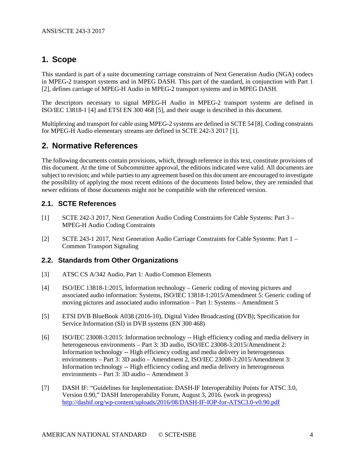# <span id="page-3-0"></span>**1. Scope**

This standard is part of a suite documenting carriage constraints of Next Generation Audio (NGA) codecs in MPEG-2 transport systems and in MPEG DASH. This part of the standard, in conjunction with Part 1 [\[2\]](#page-3-4), defines carriage of MPEG-H Audio in MPEG-2 transport systems and in MPEG DASH.

The descriptors necessary to signal MPEG-H Audio in MPEG-2 transport systems are defined in ISO/IEC 13818-1 [\[4\]](#page-3-5) and ETSI EN 300 468 [\[5\]](#page-3-6), and their usage is described in this document.

Multiplexing and transport for cable using MPEG-2 systems are defined in SCTE 54 [\[8\]](#page-4-5). Coding constraints for MPEG-H Audio elementary streams are defined in SCTE 242-3 2017 [\[1\]](#page-3-7).

# <span id="page-3-1"></span>**2. Normative References**

The following documents contain provisions, which, through reference in this text, constitute provisions of this document. At the time of Subcommittee approval, the editions indicated were valid. All documents are subject to revision; and while parties to any agreement based on this document are encouraged to investigate the possibility of applying the most recent editions of the documents listed below, they are reminded that newer editions of those documents might not be compatible with the referenced version.

#### <span id="page-3-2"></span>**2.1. SCTE References**

- <span id="page-3-7"></span>[1] SCTE 242-3 2017, Next Generation Audio Coding Constraints for Cable Systems: Part 3 – MPEG-H Audio Coding Constraints
- <span id="page-3-4"></span>[2] SCTE 243-1 2017, Next Generation Audio Carriage Constraints for Cable Systems: Part 1 – Common Transport Signaling

#### <span id="page-3-3"></span>**2.2. Standards from Other Organizations**

- <span id="page-3-5"></span>[3] ATSC CS A/342 Audio, Part 1: Audio Common Elements
- [4] ISO/IEC 13818-1:2015, Information technology Generic coding of moving pictures and associated audio information: Systems, ISO/IEC 13818-1:2015/Amendment 5: Generic coding of moving pictures and associated audio information – Part 1: Systems – Amendment 5
- <span id="page-3-6"></span>[5] ETSI DVB BlueBook A038 (2016-10), Digital Video Broadcasting (DVB); Specification for Service Information (SI) in DVB systems (EN 300 468)
- <span id="page-3-8"></span>[6] ISO/IEC 23008-3:2015: Information technology -- High efficiency coding and media delivery in heterogeneous environments – Part 3: 3D audio, ISO/IEC 23008-3:2015/Amendment 2: Information technology -- High efficiency coding and media delivery in heterogeneous environments – Part 3: 3D audio – Amendment 2, ISO/IEC 23008-3:2015/Amendment 3: Information technology -- High efficiency coding and media delivery in heterogeneous environments – Part 3: 3D audio – Amendment 3
- <span id="page-3-9"></span>[7] DASH IF: "Guidelines for Implementation: DASH-IF Interoperability Points for ATSC 3.0, Version 0.90," DASH Interoperability Forum, August 3, 2016. (work in progress) <http://dashif.org/wp-content/uploads/2016/08/DASH-IF-IOP-for-ATSC3.0-v0.90.pdf>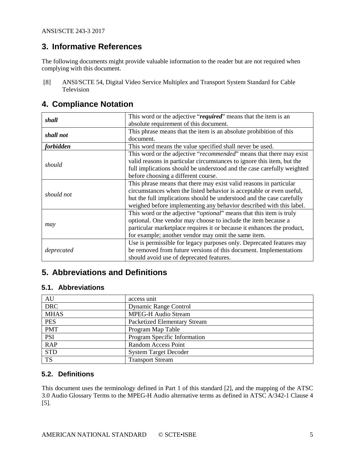ANSI/SCTE 243-3 2017

# <span id="page-4-0"></span>**3. Informative References**

The following documents might provide valuable information to the reader but are not required when complying with this document.

<span id="page-4-5"></span>[8] ANSI/SCTE 54, Digital Video Service Multiplex and Transport System Standard for Cable Television

### <span id="page-4-1"></span>**4. Compliance Notation**

| shall      | This word or the adjective "required" means that the item is an              |
|------------|------------------------------------------------------------------------------|
|            | absolute requirement of this document.                                       |
| shall not  | This phrase means that the item is an absolute prohibition of this           |
|            | document.                                                                    |
| forbidden  | This word means the value specified shall never be used.                     |
|            | This word or the adjective "recommended" means that there may exist          |
|            | valid reasons in particular circumstances to ignore this item, but the       |
| should     | full implications should be understood and the case carefully weighted       |
|            | before choosing a different course.                                          |
|            | This phrase means that there may exist valid reasons in particular           |
| should not | circumstances when the listed behavior is acceptable or even useful,         |
|            | but the full implications should be understood and the case carefully        |
|            | weighed before implementing any behavior described with this label.          |
|            | This word or the adjective " <i>optional</i> " means that this item is truly |
|            | optional. One vendor may choose to include the item because a                |
| may        | particular marketplace requires it or because it enhances the product,       |
|            | for example; another vendor may omit the same item.                          |
|            | Use is permissible for legacy purposes only. Deprecated features may         |
| deprecated | be removed from future versions of this document. Implementations            |
|            | should avoid use of deprecated features.                                     |

# <span id="page-4-2"></span>**5. Abbreviations and Definitions**

#### <span id="page-4-3"></span>**5.1. Abbreviations**

| AU          | access unit                         |
|-------------|-------------------------------------|
| <b>DRC</b>  | <b>Dynamic Range Control</b>        |
| <b>MHAS</b> | <b>MPEG-H Audio Stream</b>          |
| <b>PES</b>  | <b>Packetized Elementary Stream</b> |
| <b>PMT</b>  | Program Map Table                   |
| <b>PSI</b>  | Program Specific Information        |
| <b>RAP</b>  | Random Access Point                 |
| <b>STD</b>  | <b>System Target Decoder</b>        |
| <b>TS</b>   | <b>Transport Stream</b>             |

#### <span id="page-4-4"></span>**5.2. Definitions**

This document uses the terminology defined in Part 1 of this standard [\[2\]](#page-3-4), and the mapping of the ATSC 3.0 Audio Glossary Terms to the MPEG-H Audio alternative terms as defined in ATSC A/342-1 Clause 4 [\[5\]](#page-3-6).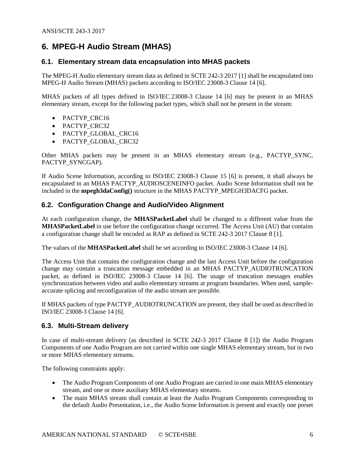# <span id="page-5-0"></span>**6. MPEG-H Audio Stream (MHAS)**

#### <span id="page-5-1"></span>**6.1. Elementary stream data encapsulation into MHAS packets**

The MPEG-H Audio elementary stream data as defined in SCTE 242-3 2017 [\[1\]](#page-3-7) shall be encapsulated into MPEG-H Audio Stream (MHAS) packets according to ISO/IEC 23008-3 Clause 14 [\[6\]](#page-3-8).

MHAS packets of all types defined in ISO/IEC 23008-3 Clause 14 [\[6\]](#page-3-8) may be present in an MHAS elementary stream, except for the following packet types, which shall not be present in the stream:

- PACTYP\_CRC16
- PACTYP\_CRC32
- PACTYP\_GLOBAL\_CRC16
- PACTYP\_GLOBAL\_CRC32

Other MHAS packets may be present in an MHAS elementary stream (e.g., PACTYP\_SYNC, PACTYP\_SYNCGAP).

If Audio Scene Information, according to ISO/IEC 23008-3 Clause 15 [\[6\]](#page-3-8) is present, it shall always be encapsulated in an MHAS PACTYP\_AUDIOSCENEINFO packet. Audio Scene Information shall not be included in the **mpegh3daConfig()** structure in the MHAS PACTYP\_MPEGH3DACFG packet.

#### <span id="page-5-2"></span>**6.2. Configuration Change and Audio/Video Alignment**

At each configuration change, the **MHASPacketLabel** shall be changed to a different value from the **MHASPacketLabel** in use before the configuration change occurred. The Access Unit (AU) that contains a configuration change shall be encoded as RAP as defined in SCTE 242-3 2017 Clause 8 [\[1\]](#page-3-7).

The values of the **MHASPacketLabel** shall be set according to ISO/IEC 23008-3 Clause 14 [\[6\]](#page-3-8).

The Access Unit that contains the configuration change and the last Access Unit before the configuration change may contain a truncation message embedded in an MHAS PACTYP\_AUDIOTRUNCATION packet, as defined in ISO/IEC 23008-3 Clause 14 [\[6\]](#page-3-8). The usage of truncation messages enables synchronization between video and audio elementary streams at program boundaries. When used, sampleaccurate splicing and reconfiguration of the audio stream are possible.

If MHAS packets of type PACTYP\_AUDIOTRUNCATION are present, they shall be used as described in ISO/IEC 23008-3 Clause 14 [\[6\]](#page-3-8).

#### <span id="page-5-3"></span>**6.3. Multi-Stream delivery**

In case of multi-stream delivery (as described in SCTE 242-3 2017 Clause 8 [\[1\]](#page-3-7)) the Audio Program Components of one Audio Program are not carried within one single MHAS elementary stream, but in two or more MHAS elementary streams.

The following constraints apply:

- The Audio Program Components of one Audio Program are carried in one main MHAS elementary stream, and one or more auxiliary MHAS elementary streams.
- The main MHAS stream shall contain at least the Audio Program Components corresponding to the default Audio Presentation, i.e., the Audio Scene Information is present and exactly one preset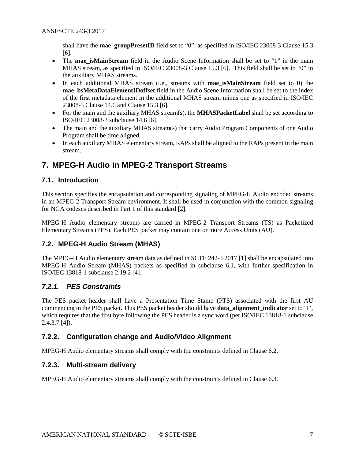shall have the **mae\_groupPresetID** field set to "0", as specified in ISO/IEC 23008-3 Clause 15.3 [\[6\]](#page-3-8).

- The **mae\_isMainStream** field in the Audio Scene Information shall be set to "1" in the main MHAS stream, as specified in ISO/IEC 23008-3 Clause 15.3 [\[6\]](#page-3-8). This field shall be set to "0" in the auxiliary MHAS streams.
- In each additional MHAS stream (i.e., streams with **mae\_isMainStream** field set to 0) the **mae\_bsMetaDataElementIDoffset** field in the Audio Scene Information shall be set to the index of the first metadata element in the additional MHAS stream minus one as specified in ISO/IEC 23008-3 Clause 14.6 and Clause 15.3 [\[6\]](#page-3-8).
- For the main and the auxiliary MHAS stream(s), the **MHASPacketLabel** shall be set according to ISO/IEC 23008-3 subclause 14.6 [\[6\]](#page-3-8).
- The main and the auxiliary MHAS stream(s) that carry Audio Program Components of one Audio Program shall be time aligned.
- In each auxiliary MHAS elementary stream, RAPs shall be aligned to the RAPs present in the main stream.

# <span id="page-6-0"></span>**7. MPEG-H Audio in MPEG-2 Transport Streams**

#### <span id="page-6-1"></span>**7.1. Introduction**

This section specifies the encapsulation and corresponding signaling of MPEG-H Audio encoded streams in an MPEG-2 Transport Stream environment. It shall be used in conjunction with the common signaling for NGA codescs described in Part 1 of this standard [\[2\]](#page-3-4).

MPEG-H Audio elementary streams are carried in MPEG-2 Transport Streams (TS) as Packetized Elementary Streams (PES). Each PES packet may contain one or more Access Units (AU).

#### <span id="page-6-2"></span>**7.2. MPEG-H Audio Stream (MHAS)**

The MPEG-H Audio elementary stream data as defined in SCTE 242-3 2017 [\[1\]](#page-3-7) shall be encapsulated into MPEG-H Audio Stream (MHAS) packets as specified in subclause [6.1,](#page-5-1) with further specification in ISO/IEC 13818-1 subclause 2.19.2 [\[4\]](#page-3-5).

#### <span id="page-6-3"></span>*7.2.1. PES Constraints*

The PES packet header shall have a Presentation Time Stamp (PTS) associated with the first AU commencing in the PES packet. This PES packet header should have **data\_alignment\_indicator** set to '1', which requires that the first byte following the PES header is a sync word (per ISO/IEC 13818-1 subclause 2.4.3.7 [\[4\]](#page-3-5)).

#### <span id="page-6-4"></span>**7.2.2. Configuration change and Audio/Video Alignment**

<span id="page-6-5"></span>MPEG-H Audio elementary streams shall comply with the constraints defined in Clause [6.2.](#page-5-2)

#### **7.2.3. Multi-stream delivery**

MPEG-H Audio elementary streams shall comply with the constraints defined in Clause [6.3.](#page-5-3)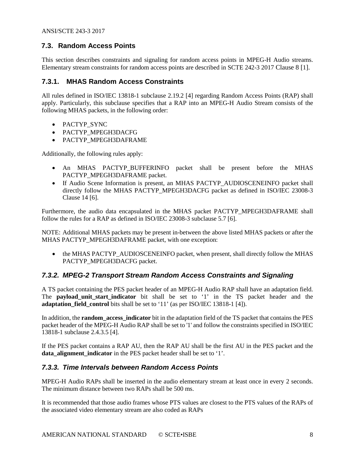#### <span id="page-7-0"></span>**7.3. Random Access Points**

This section describes constraints and signaling for random access points in MPEG-H Audio streams. Elementary stream constraints for random access points are described in SCTE 242-3 2017 Clause 8 [\[1\]](#page-3-7).

#### <span id="page-7-1"></span>**7.3.1. MHAS Random Access Constraints**

All rules defined in ISO/IEC 13818-1 subclause 2.19.2 [\[4\]](#page-3-5) regarding Random Access Points (RAP) shall apply. Particularly, this subclause specifies that a RAP into an MPEG-H Audio Stream consists of the following MHAS packets, in the following order:

- PACTYP\_SYNC
- PACTYP\_MPEGH3DACFG
- PACTYP\_MPEGH3DAFRAME

Additionally, the following rules apply:

- An MHAS PACTYP\_BUFFERINFO packet shall be present before the MHAS PACTYP\_MPEGH3DAFRAME packet.
- If Audio Scene Information is present, an MHAS PACTYP AUDIOSCENEINFO packet shall directly follow the MHAS PACTYP\_MPEGH3DACFG packet as defined in ISO/IEC 23008-3 Clause 14 [\[6\]](#page-3-8).

Furthermore, the audio data encapsulated in the MHAS packet PACTYP\_MPEGH3DAFRAME shall follow the rules for a RAP as defined in ISO/IEC 23008-3 subclause 5.7 [\[6\]](#page-3-8).

NOTE: Additional MHAS packets may be present in-between the above listed MHAS packets or after the MHAS PACTYP\_MPEGH3DAFRAME packet, with one exception:

• the MHAS PACTYP\_AUDIOSCENEINFO packet, when present, shall directly follow the MHAS PACTYP\_MPEGH3DACFG packet.

#### <span id="page-7-2"></span>*7.3.2. MPEG-2 Transport Stream Random Access Constraints and Signaling*

A TS packet containing the PES packet header of an MPEG-H Audio RAP shall have an adaptation field. The **payload\_unit\_start\_indicator** bit shall be set to '1' in the TS packet header and the **adaptation field control** bits shall be set to '11' (as per ISO/IEC 13818-1 [\[4\]](#page-3-5)).

In addition, the **random\_access\_indicator** bit in the adaptation field of the TS packet that contains the PES packet header of the MPEG-H Audio RAP shall be set to '1' and follow the constraints specified in ISO/IEC 13818-1 subclause 2.4.3.5 [\[4\]](#page-3-5).

If the PES packet contains a RAP AU, then the RAP AU shall be the first AU in the PES packet and the **data alignment indicator** in the PES packet header shall be set to '1'.

#### <span id="page-7-3"></span>*7.3.3. Time Intervals between Random Access Points*

MPEG-H Audio RAPs shall be inserted in the audio elementary stream at least once in every 2 seconds. The minimum distance between two RAPs shall be 500 ms.

It is recommended that those audio frames whose PTS values are closest to the PTS values of the RAPs of the associated video elementary stream are also coded as RAPs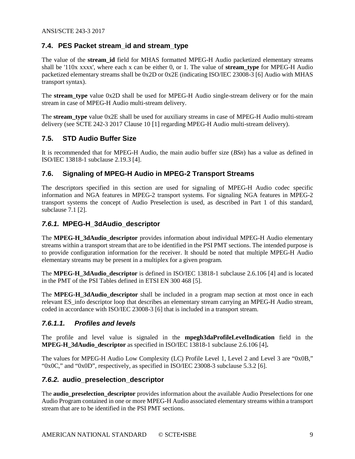#### <span id="page-8-0"></span>**7.4. PES Packet stream\_id and stream\_type**

The value of the **stream\_id** field for MHAS formatted MPEG-H Audio packetized elementary streams shall be '110x xxxx', where each x can be either 0, or 1. The value of **stream\_type** for MPEG-H Audio packetized elementary streams shall be 0x2D or 0x2E (indicating ISO/IEC 23008-3 [\[6\]](#page-3-8) Audio with MHAS transport syntax).

The **stream\_type** value 0x2D shall be used for MPEG-H Audio single-stream delivery or for the main stream in case of MPEG-H Audio multi-stream delivery.

The **stream\_type** value 0x2E shall be used for auxiliary streams in case of MPEG-H Audio multi-stream delivery (see SCTE 242-3 2017 Clause 10 [\[1\]](#page-3-7) regarding MPEG-H Audio multi-stream delivery).

#### <span id="page-8-1"></span>**7.5. STD Audio Buffer Size**

It is recommended that for MPEG-H Audio, the main audio buffer size (*BSn*) has a value as defined in ISO/IEC 13818-1 subclause 2.19.3 [\[4\]](#page-3-5).

#### <span id="page-8-2"></span>**7.6. Signaling of MPEG-H Audio in MPEG-2 Transport Streams**

The descriptors specified in this section are used for signaling of MPEG-H Audio codec specific information and NGA features in MPEG-2 transport systems. For signaling NGA features in MPEG-2 transport systems the concept of Audio Preselection is used, as described in Part 1 of this standard, subclause 7.1 [\[2\]](#page-3-4).

#### <span id="page-8-3"></span>*7.6.1.* **MPEG-H\_3dAudio\_descriptor**

The **MPEG-H\_3dAudio\_descriptor** provides information about individual MPEG-H Audio elementary streams within a transport stream that are to be identified in the PSI PMT sections. The intended purpose is to provide configuration information for the receiver. It should be noted that multiple MPEG-H Audio elementary streams may be present in a multiplex for a given program.

The **MPEG-H\_3dAudio\_descriptor** is defined in ISO/IEC 13818-1 subclause 2.6.106 [\[4\]](#page-3-5) and is located in the PMT of the PSI Tables defined in ETSI EN 300 468 [\[5\]](#page-3-6).

The **MPEG-H\_3dAudio\_descriptor** shall be included in a program map section at most once in each relevant ES\_info descriptor loop that describes an elementary stream carrying an MPEG-H Audio stream, coded in accordance with ISO/IEC 23008-3 [\[6\]](#page-3-8) that is included in a transport stream.

#### *7.6.1.1. Profiles and levels*

The profile and level value is signaled in the **mpegh3daProfileLevelIndication** field in the **MPEG-H\_3dAudio\_descriptor** as specified in ISO/IEC 13818-1 subclause 2.6.106 [\[4\]](#page-3-5)**.**

The values for MPEG-H Audio Low Complexity (LC) Profile Level 1, Level 2 and Level 3 are "0x0B," "0x0C," and "0x0D", respectively, as specified in ISO/IEC 23008-3 subclause 5.3.2 [\[6\]](#page-3-8).

#### <span id="page-8-4"></span>*7.6.2.* **audio\_preselection\_descriptor**

The **audio\_preselection\_descriptor** provides information about the available Audio Preselections for one Audio Program contained in one or more MPEG-H Audio associated elementary streams within a transport stream that are to be identified in the PSI PMT sections.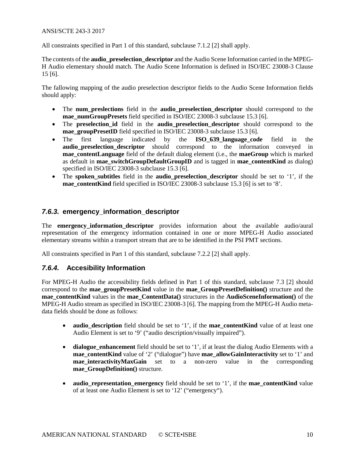#### ANSI/SCTE 243-3 2017

All constraints specified in Part 1 of this standard, subclause 7.1.2 [\[2\]](#page-3-4) shall apply.

The contents of the **audio\_preselection\_descriptor** and the Audio Scene Information carried in the MPEG-H Audio elementary should match. The Audio Scene Information is defined in ISO/IEC 23008-3 Clause 15 [\[6\]](#page-3-8).

The fallowing mapping of the audio preselection descriptor fields to the Audio Scene Information fields should apply:

- The **num\_preslections** field in the **audio\_preselection\_descriptor** should correspond to the **mae\_numGroupPresets** field specified in ISO/IEC 23008-3 subclause 15.3 [\[6\]](#page-3-8).
- The **preselection\_id** field in the **audio\_preselection\_descriptor** should correspond to the **mae** groupPresetID field specified in ISO/IEC 23008-3 subclause 15.3 [\[6\]](#page-3-8).
- The first language indicated by the **ISO 639 language code** field in the **audio\_preselection\_descriptor** should correspond to the information conveyed in **mae** contentLanguage field of the default dialog element (i.e., the **maeGroup** which is marked as default in **mae\_switchGroupDefaultGroupID** and is tagged in **mae\_contentKind** as dialog) specified in ISO/IEC 23008-3 subclause 15.3 [\[6\]](#page-3-8).
- The **spoken** subtitles field in the **audio** preselection descriptor should be set to '1', if the **mae\_contentKind** field specified in ISO/IEC 23008-3 subclause 15.3 [\[6\]](#page-3-8) is set to '8'.

#### <span id="page-9-0"></span>*7.6.3.* **emergency\_information\_descriptor**

The **emergency\_information\_descriptor** provides information about the available audio/aural representation of the emergency information contained in one or more MPEG-H Audio associated elementary streams within a transport stream that are to be identified in the PSI PMT sections.

All constraints specified in Part 1 of this standard, subclause 7.2.2 [\[2\]](#page-3-4) shall apply.

#### <span id="page-9-1"></span>*7.6.4.* **Accesibility Information**

For MPEG-H Audio the accessibility fields defined in Part 1 of this standard, subclause 7.3 [\[2\]](#page-3-4) should correspond to the **mae\_groupPresetKind** value in the **mae\_GroupPresetDefinition()** structure and the **mae\_contentKind** values in the **mae\_ContentData()** structures in the **AudioSceneInformation()** of the MPEG-H Audio stream as specified in ISO/IEC 23008-3 [\[6\]](#page-3-8). The mapping from the MPEG-H Audio metadata fields should be done as follows:

- **audio\_description** field should be set to '1', if the **mae\_contentKind** value of at least one Audio Element is set to '9' ("audio description/visually impaired").
- **dialogue\_enhancement** field should be set to '1', if at least the dialog Audio Elements with a **mae\_contentKind** value of '2' ("dialogue") have **mae\_allowGainInteractivity** set to '1' and **mae** interactivityMaxGain set to a non-zero value in the corresponding **mae\_GroupDefinition()** structure.
- **audio representation emergency** field should be set to '1', if the **mae** content Kind value of at least one Audio Element is set to '12' ("emergency").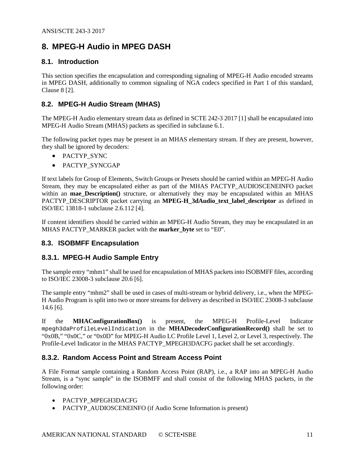## <span id="page-10-0"></span>**8. MPEG-H Audio in MPEG DASH**

#### <span id="page-10-1"></span>**8.1. Introduction**

This section specifies the encapsulation and corresponding signaling of MPEG-H Audio encoded streams in MPEG DASH, additionally to common signaling of NGA codecs specified in Part 1 of this standard, Clause 8 [\[2\]](#page-3-4).

#### <span id="page-10-2"></span>**8.2. MPEG-H Audio Stream (MHAS)**

The MPEG-H Audio elementary stream data as defined in SCTE 242-3 2017 [\[1\]](#page-3-7) shall be encapsulated into MPEG-H Audio Stream (MHAS) packets as specified in subclause [6.1.](#page-5-1)

The following packet types may be present in an MHAS elementary stream. If they are present, however, they shall be ignored by decoders:

- PACTYP\_SYNC
- PACTYP\_SYNCGAP

If text labels for Group of Elements, Switch Groups or Presets should be carried within an MPEG-H Audio Stream, they may be encapsulated either as part of the MHAS PACTYP\_AUDIOSCENEINFO packet within an **mae\_Description()** structure, or alternatively they may be encapsulated within an MHAS PACTYP\_DESCRIPTOR packet carrying an **MPEG-H\_3dAudio\_text\_label\_descriptor** as defined in ISO/IEC 13818-1 subclause 2.6.112 [\[4\]](#page-3-5).

If content identifiers should be carried within an MPEG-H Audio Stream, they may be encapsulated in an MHAS PACTYP\_MARKER packet with the **marker** byte set to "E0".

#### <span id="page-10-3"></span>**8.3. ISOBMFF Encapsulation**

#### <span id="page-10-4"></span>**8.3.1. MPEG-H Audio Sample Entry**

The sample entry "mhm1" shall be used for encapsulation of MHAS packets into ISOBMFF files, according to ISO/IEC 23008-3 subclause 20.6 [\[6\]](#page-3-8).

The sample entry "mhm2" shall be used in cases of multi-stream or hybrid delivery, i.e., when the MPEG-H Audio Program is split into two or more streams for delivery as described in ISO/IEC 23008-3 subclause 14.6 [\[6\]](#page-3-8).

If the **MHAConfigurationBox()** is present, the MPEG-H Profile-Level Indicator mpegh3daProfileLevelIndication in the **MHADecoderConfigurationRecord()** shall be set to "0x0B," "0x0C," or "0x0D" for MPEG-H Audio LC Profile Level 1, Level 2, or Level 3, respectively. The Profile-Level Indicator in the MHAS PACTYP\_MPEGH3DACFG packet shall be set accordingly.

#### <span id="page-10-5"></span>**8.3.2. Random Access Point and Stream Access Point**

A File Format sample containing a Random Access Point (RAP), i.e., a RAP into an MPEG-H Audio Stream, is a "sync sample" in the ISOBMFF and shall consist of the following MHAS packets, in the following order:

- PACTYP\_MPEGH3DACFG
- PACTYP\_AUDIOSCENEINFO (if Audio Scene Information is present)